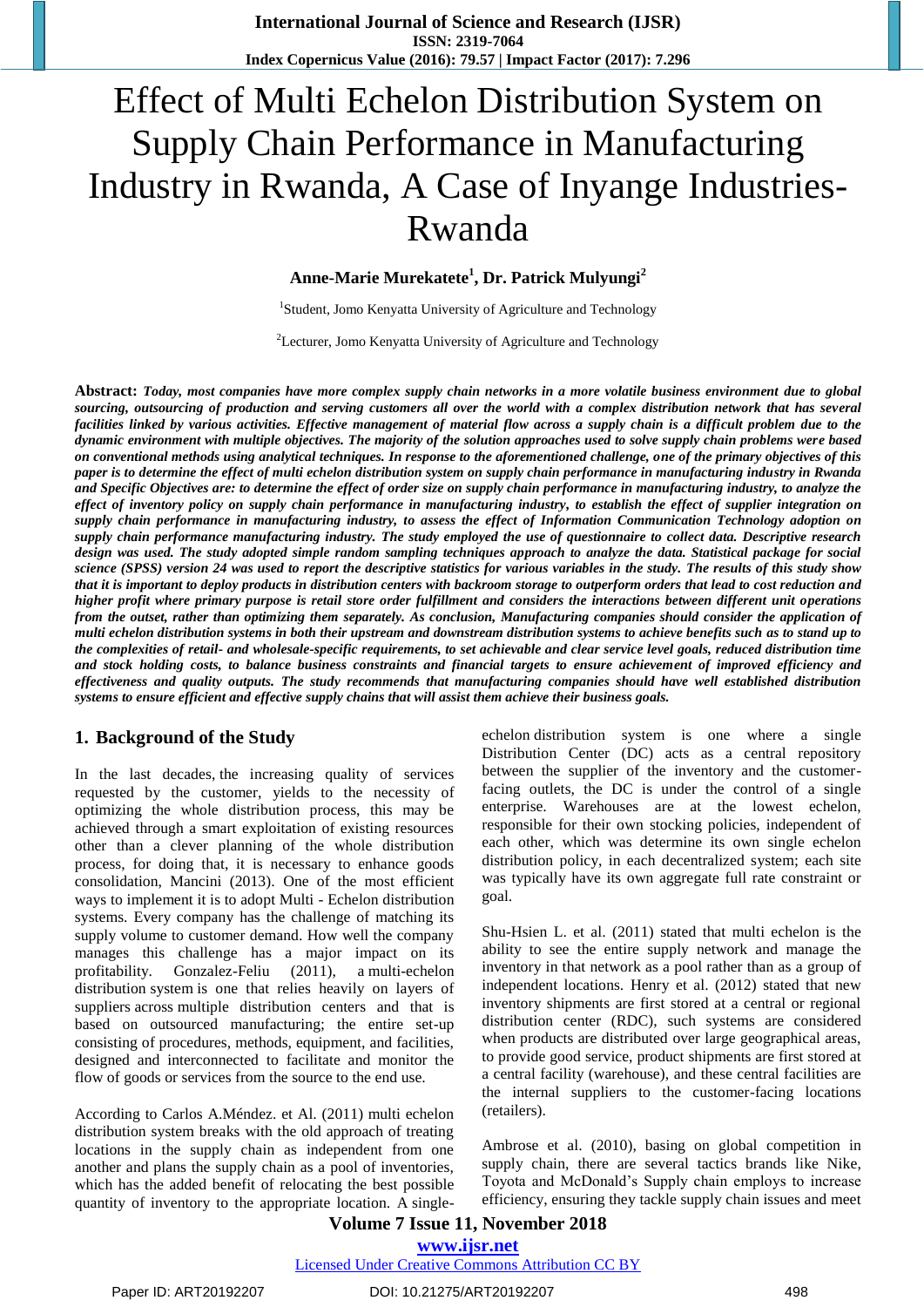# Effect of Multi Echelon Distribution System on Supply Chain Performance in Manufacturing Industry in Rwanda, A Case of Inyange Industries-Rwanda

#### **Anne-Marie Murekatete<sup>1</sup> , Dr. Patrick Mulyungi<sup>2</sup>**

<sup>1</sup>Student, Jomo Kenyatta University of Agriculture and Technology

<sup>2</sup>Lecturer, Jomo Kenyatta University of Agriculture and Technology

**Abstract:** *Today, most companies have more complex supply chain networks in a more volatile business environment due to global sourcing, outsourcing of production and serving customers all over the world with a complex distribution network that has several facilities linked by various activities. Effective management of material flow across a supply chain is a difficult problem due to the dynamic environment with multiple objectives. The majority of the solution approaches used to solve supply chain problems were based on conventional methods using analytical techniques. In response to the aforementioned challenge, one of the primary objectives of this paper is to determine the effect of multi echelon distribution system on supply chain performance in manufacturing industry in Rwanda and Specific Objectives are: to determine the effect of order size on supply chain performance in manufacturing industry, to analyze the effect of inventory policy on supply chain performance in manufacturing industry, to establish the effect of supplier integration on supply chain performance in manufacturing industry, to assess the effect of Information Communication Technology adoption on supply chain performance manufacturing industry. The study employed the use of questionnaire to collect data. Descriptive research design was used. The study adopted simple random sampling techniques approach to analyze the data. Statistical package for social science (SPSS) version 24 was used to report the descriptive statistics for various variables in the study. The results of this study show that it is important to deploy products in distribution centers with backroom storage to outperform orders that lead to cost reduction and higher profit where primary purpose is retail store order fulfillment and considers the interactions between different unit operations from the outset, rather than optimizing them separately. As conclusion, Manufacturing companies should consider the application of multi echelon distribution systems in both their upstream and downstream distribution systems to achieve benefits such as to stand up to the complexities of retail- and wholesale-specific requirements, to set achievable and clear service level goals, reduced distribution time and stock holding costs, to balance business constraints and financial targets to ensure achievement of improved efficiency and effectiveness and quality outputs. The study recommends that manufacturing companies should have well established distribution systems to ensure efficient and effective supply chains that will assist them achieve their business goals.*

#### **1. Background of the Study**

In the last decades, the increasing quality of services requested by the customer, yields to the necessity of optimizing the whole distribution process, this may be achieved through a smart exploitation of existing resources other than a clever planning of the whole distribution process, for doing that, it is necessary to enhance goods consolidation, Mancini (2013). One of the most efficient ways to implement it is to adopt Multi - Echelon distribution systems. Every company has the challenge of matching its supply volume to customer demand. How well the company manages this challenge has a major impact on its profitability. Gonzalez-Feliu (2011), a multi-echelon distribution system is one that relies heavily on layers of suppliers across multiple distribution centers and that is based on outsourced manufacturing; the entire set-up consisting of procedures, methods, equipment, and facilities, designed and interconnected to facilitate and monitor the flow of goods or services from the source to the end use.

According to Carlos A.Méndez. et Al. (2011) multi echelon distribution system breaks with the old approach of treating locations in the supply chain as independent from one another and plans the supply chain as a pool of inventories, which has the added benefit of relocating the best possible quantity of inventory to the appropriate location. A singleechelon distribution system is one where a single Distribution Center (DC) acts as a central repository between the supplier of the inventory and the customerfacing outlets, the DC is under the control of a single enterprise. Warehouses are at the lowest echelon, responsible for their own stocking policies, independent of each other, which was determine its own single echelon distribution policy, in each decentralized system; each site was typically have its own aggregate full rate constraint or goal.

Shu-Hsien L. et al. (2011) stated that multi echelon is the ability to see the entire supply network and manage the inventory in that network as a pool rather than as a group of independent locations. Henry et al. (2012) stated that new inventory shipments are first stored at a central or regional distribution center (RDC), such systems are considered when products are distributed over large geographical areas, to provide good service, product shipments are first stored at a central facility (warehouse), and these central facilities are the internal suppliers to the customer-facing locations (retailers).

Ambrose et al. (2010), basing on global competition in supply chain, there are several tactics brands like Nike, Toyota and McDonald's Supply chain employs to increase efficiency, ensuring they tackle supply chain issues and meet

#### **Volume 7 Issue 11, November 2018 <www.ijsr.net>** [Licensed Under Creative Commons Attribution CC BY](http://creativecommons.org/licenses/by/4.0/)

Paper ID: ART20192207 DOI: 10.21275/ART20192207 498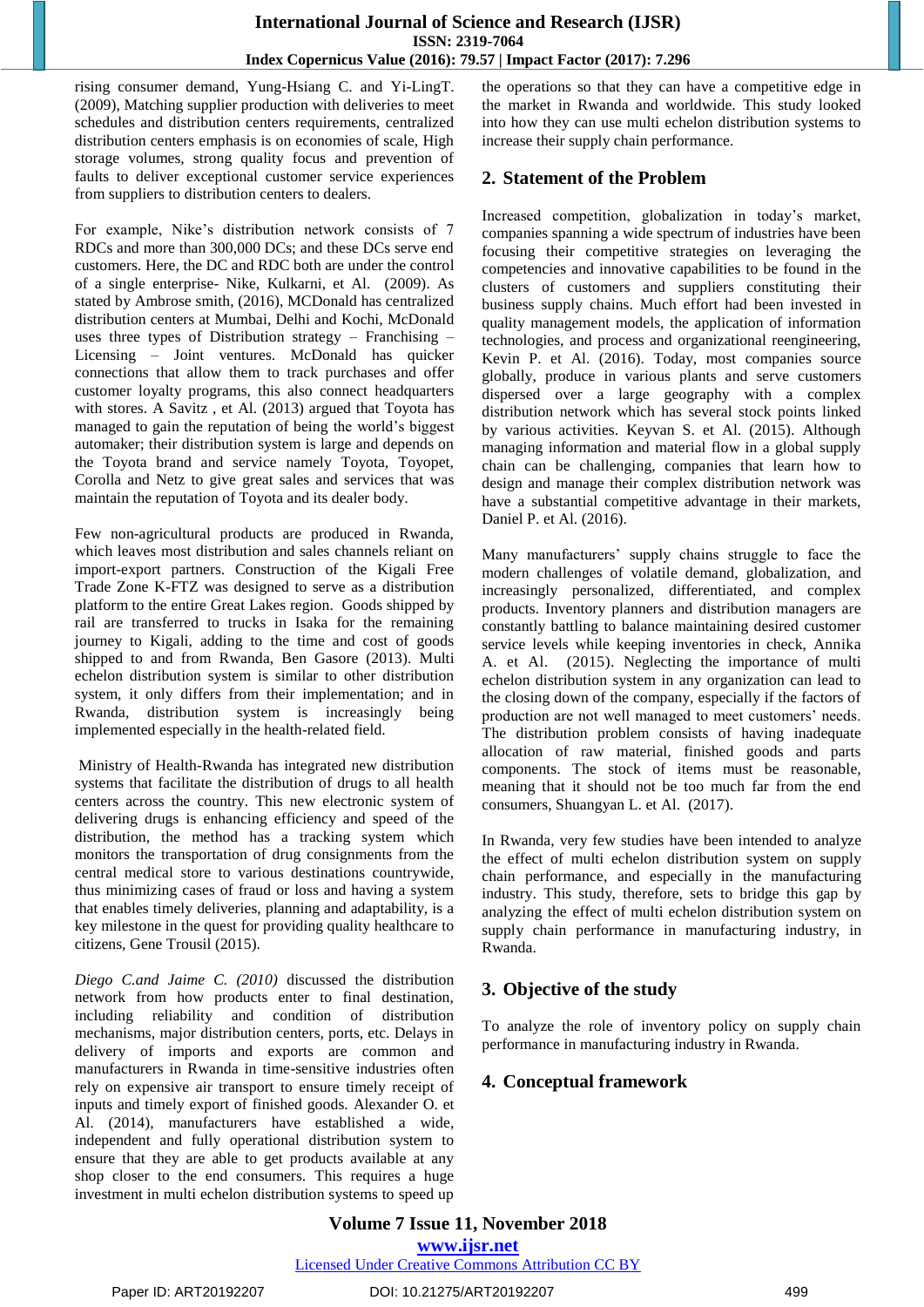rising consumer demand, Yung-Hsiang C. and Yi-LingT. (2009), Matching supplier production with deliveries to meet schedules and distribution centers requirements, centralized distribution centers emphasis is on economies of scale, High storage volumes, strong quality focus and prevention of faults to deliver exceptional customer service experiences from suppliers to distribution centers to dealers.

For example, Nike's distribution network consists of 7 RDCs and more than 300,000 DCs; and these DCs serve end customers. Here, the DC and RDC both are under the control of a single enterprise- Nike, Kulkarni, et Al. (2009). As stated by [Ambrose smith,](https://mpk732t12016clusterb.wordpress.com/author/ambrosesmith/) (2016), MCDonald has centralized distribution centers at Mumbai, Delhi and Kochi, McDonald uses three types of Distribution strategy – Franchising – Licensing – Joint ventures. McDonald has quicker connections that allow them to track purchases and offer customer loyalty programs, this also connect headquarters with stores. A Savitz , et Al. (2013) argued that Toyota has managed to gain the reputation of being the world's biggest automaker; their distribution system is large and depends on the Toyota brand and service namely Toyota, Toyopet, Corolla and Netz to give great sales and services that was maintain the reputation of Toyota and its dealer body.

Few non-agricultural products are produced in Rwanda, which leaves most distribution and sales channels reliant on import-export partners. Construction of the Kigali Free Trade Zone K-FTZ was designed to serve as a distribution platform to the entire Great Lakes region. Goods shipped by rail are transferred to trucks in Isaka for the remaining journey to Kigali, adding to the time and cost of goods shipped to and from Rwanda, Ben Gasore (2013). Multi echelon distribution system is similar to other distribution system, it only differs from their implementation; and in Rwanda, distribution system is increasingly being implemented especially in the health-related field.

Ministry of Health-Rwanda has integrated new distribution systems that facilitate the distribution of drugs to all health centers across the country. This new electronic system of delivering drugs is enhancing efficiency and speed of the distribution, the method has a tracking system which monitors the transportation of drug consignments from the central medical store to various destinations countrywide, thus minimizing cases of fraud or loss and having a system that enables timely deliveries, planning and adaptability, is a key milestone in the quest for providing quality healthcare to citizens, Gene Trousil (2015).

*Diego C.and Jaime C. (2010)* discussed the distribution network from how products enter to final destination, including reliability and condition of distribution mechanisms, major distribution centers, ports, etc. Delays in delivery of imports and exports are common and manufacturers in Rwanda in time-sensitive industries often rely on expensive air transport to ensure timely receipt of inputs and timely export of finished goods. Alexander O. et Al. (2014), manufacturers have established a wide, independent and fully operational distribution system to ensure that they are able to get products available at any shop closer to the end consumers. This requires a huge investment in multi echelon distribution systems to speed up the operations so that they can have a competitive edge in the market in Rwanda and worldwide. This study looked into how they can use multi echelon distribution systems to increase their supply chain performance.

## **2. Statement of the Problem**

Increased competition, globalization in today's market, companies spanning a wide spectrum of industries have been focusing their competitive strategies on leveraging the competencies and innovative capabilities to be found in the clusters of customers and suppliers constituting their business supply chains. Much effort had been invested in quality management models, the application of information technologies, and process and organizational reengineering, Kevin P. et Al. (2016). Today, most companies source globally, produce in various plants and serve customers dispersed over a large geography with a complex distribution network which has several stock points linked by various activities. Keyvan S. et Al. (2015). Although managing information and material flow in a global supply chain can be challenging, companies that learn how to design and manage their complex distribution network was have a substantial competitive advantage in their markets, Daniel P. et Al. (2016).

Many manufacturers' supply chains struggle to face the modern challenges of volatile demand, globalization, and increasingly personalized, differentiated, and complex products. Inventory planners and distribution managers are constantly battling to balance maintaining desired customer service levels while keeping inventories in check, [Annika](https://www.emeraldinsight.com/author/Alftan%2C+Annika)  [A. et Al.](https://www.emeraldinsight.com/author/Alftan%2C+Annika) (2015). Neglecting the importance of multi echelon distribution system in any organization can lead to the closing down of the company, especially if the factors of production are not well managed to meet customers' needs. The distribution problem consists of having inadequate allocation of raw material, finished goods and parts components. The stock of items must be reasonable, meaning that it should not be too much far from the end consumers, Shuangyan L. et Al. (2017).

In Rwanda, very few studies have been intended to analyze the effect of multi echelon distribution system on supply chain performance, and especially in the manufacturing industry. This study, therefore, sets to bridge this gap by analyzing the effect of multi echelon distribution system on supply chain performance in manufacturing industry, in Rwanda.

# **3. Objective of the study**

To analyze the role of inventory policy on supply chain performance in manufacturing industry in Rwanda.

# **4. Conceptual framework**

**Volume 7 Issue 11, November 2018 <www.ijsr.net>** [Licensed Under Creative Commons Attribution CC BY](http://creativecommons.org/licenses/by/4.0/)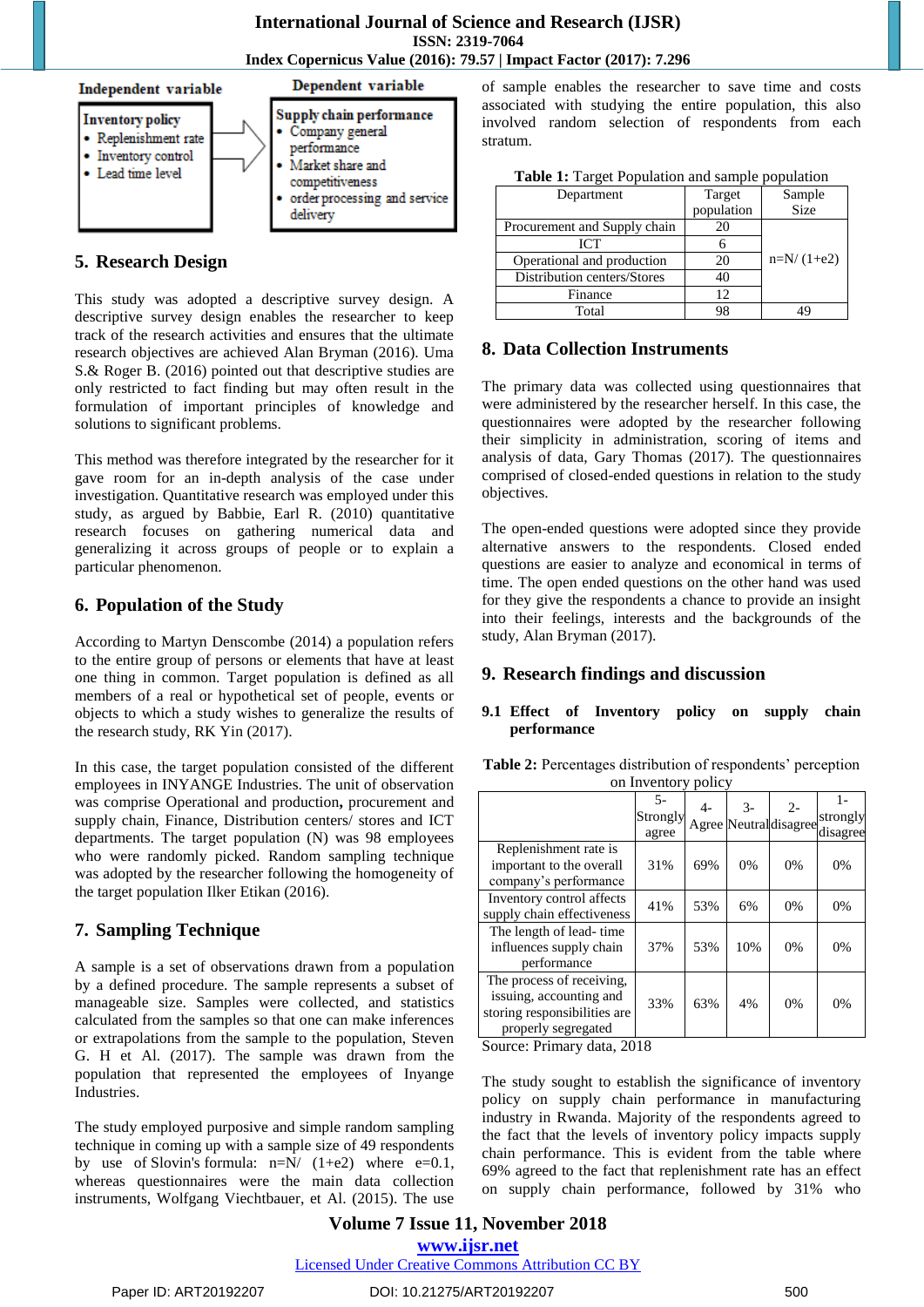**International Journal of Science and Research (IJSR) ISSN: 2319-7064 Index Copernicus Value (2016): 79.57 | Impact Factor (2017): 7.296**



#### **5. Research Design**

This study was adopted a descriptive survey design. A descriptive survey design enables the researcher to keep track of the research activities and ensures that the ultimate research objectives are achieved Alan Bryman (2016). Uma S.& Roger B. (2016) pointed out that descriptive studies are only restricted to fact finding but may often result in the formulation of important principles of knowledge and solutions to significant problems.

This method was therefore integrated by the researcher for it gave room for an in-depth analysis of the case under investigation. Quantitative research was employed under this study, as argued by Babbie, Earl R. (2010) quantitative research focuses on gathering numerical data and generalizing it across groups of people or to explain a particular phenomenon.

#### **6. Population of the Study**

According to Martyn Denscombe (2014) a population refers to the entire group of persons or elements that have at least one thing in common. Target population is defined as all members of a real or hypothetical set of people, events or objects to which a study wishes to generalize the results of the research study, RK Yin (2017).

In this case, the target population consisted of the different employees in INYANGE Industries. The unit of observation was comprise Operational and production**,** procurement and supply chain, Finance, Distribution centers/ stores and ICT departments. The target population (N) was 98 employees who were randomly picked. Random sampling technique was adopted by the researcher following the homogeneity of the target population Ilker Etikan (2016).

#### **7. Sampling Technique**

A sample is a set of observations drawn from a population by a defined procedure. The sample represents a subset of manageable size. Samples were collected, and statistics calculated from the samples so that one can make inferences or extrapolations from the sample to the population, Steven G. H et Al. (2017). The sample was drawn from the population that represented the employees of Inyange Industries.

The study employed purposive and simple random sampling technique in coming up with a sample size of 49 respondents by use of Slovin's formula:  $n=N/(1+e^2)$  where  $e=0.1$ , whereas questionnaires were the main data collection instruments, Wolfgang Viechtbauer, et Al. (2015). The use of sample enables the researcher to save time and costs associated with studying the entire population, this also involved random selection of respondents from each stratum.

| Department                   | Target     | Sample       |  |
|------------------------------|------------|--------------|--|
|                              | population | Size         |  |
| Procurement and Supply chain | 20         |              |  |
| $\mathsf{ICT}$               |            |              |  |
| Operational and production   | 20         | $n=N/(1+e2)$ |  |
| Distribution centers/Stores  | 40         |              |  |
| Finance                      | 12         |              |  |
| Total                        | 98         |              |  |

## **8. Data Collection Instruments**

The primary data was collected using questionnaires that were administered by the researcher herself. In this case, the questionnaires were adopted by the researcher following their simplicity in administration, scoring of items and analysis of data, Gary Thomas (2017). The questionnaires comprised of closed-ended questions in relation to the study objectives.

The open-ended questions were adopted since they provide alternative answers to the respondents. Closed ended questions are easier to analyze and economical in terms of time. The open ended questions on the other hand was used for they give the respondents a chance to provide an insight into their feelings, interests and the backgrounds of the study, Alan Bryman (2017).

#### **9. Research findings and discussion**

#### **9.1 Effect of Inventory policy on supply chain performance**

| Table 2: Percentages distribution of respondents' perception |  |
|--------------------------------------------------------------|--|
| on Inventory policy                                          |  |

|                                                                                                             | $5 -$<br>Strongly<br>agree | $4-$ | $3-$ | $2 -$<br>Agree Neutral disagree | strongly<br>disagree |
|-------------------------------------------------------------------------------------------------------------|----------------------------|------|------|---------------------------------|----------------------|
| Replenishment rate is<br>important to the overall<br>company's performance                                  | 31%                        | 69%  | 0%   | 0%                              | 0%                   |
| Inventory control affects<br>supply chain effectiveness                                                     | 41%                        | 53%  | 6%   | 0%                              | 0%                   |
| The length of lead-time<br>influences supply chain<br>performance                                           | 37%                        | 53%  | 10%  | 0%                              | 0%                   |
| The process of receiving,<br>issuing, accounting and<br>storing responsibilities are<br>properly segregated | 33%                        | 63%  | 4%   | 0%                              | 0%                   |

Source: Primary data, 2018

The study sought to establish the significance of inventory policy on supply chain performance in manufacturing industry in Rwanda. Majority of the respondents agreed to the fact that the levels of inventory policy impacts supply chain performance. This is evident from the table where 69% agreed to the fact that replenishment rate has an effect on supply chain performance, followed by 31% who

# **Volume 7 Issue 11, November 2018 <www.ijsr.net>**

[Licensed Under Creative Commons Attribution CC BY](http://creativecommons.org/licenses/by/4.0/)